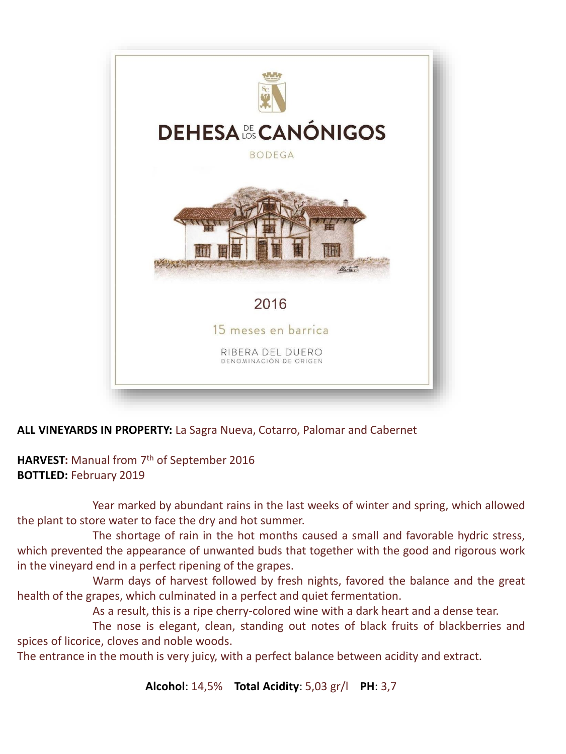

## **ALL VINEYARDS IN PROPERTY:** La Sagra Nueva, Cotarro, Palomar and Cabernet

## **HARVEST:** Manual from 7<sup>th</sup> of September 2016 **BOTTLED:** February 2019

Year marked by abundant rains in the last weeks of winter and spring, which allowed the plant to store water to face the dry and hot summer.

The shortage of rain in the hot months caused a small and favorable hydric stress, which prevented the appearance of unwanted buds that together with the good and rigorous work in the vineyard end in a perfect ripening of the grapes.

Warm days of harvest followed by fresh nights, favored the balance and the great health of the grapes, which culminated in a perfect and quiet fermentation.

As a result, this is a ripe cherry-colored wine with a dark heart and a dense tear.

The nose is elegant, clean, standing out notes of black fruits of blackberries and spices of licorice, cloves and noble woods.

The entrance in the mouth is very juicy, with a perfect balance between acidity and extract.

**Alcohol**: 14,5% **Total Acidity**: 5,03 gr/l **PH**: 3,7